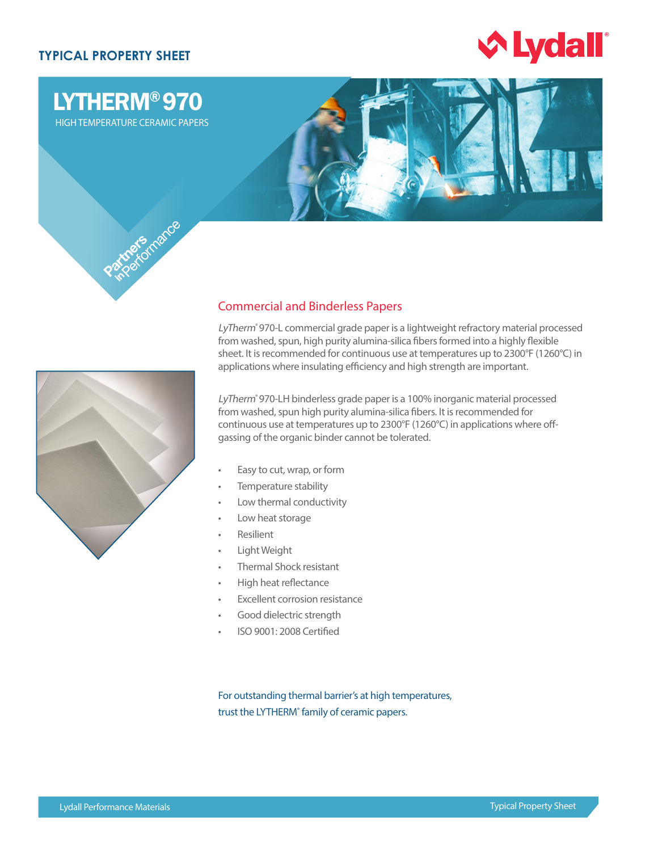# **TYPICAL PROPERTY SHEET**

LYTHERM® 970 HIGH TEMPERATURE CERAMIC PAPERS





## Commercial and Binderless Papers

LyTherm® 970-L commercial grade paper is a lightweight refractory material processed from washed, spun, high purity alumina-silica fibers formed into a highly flexible sheet. It is recommended for continuous use at temperatures up to 2300°F (1260°C) in applications where insulating efficiency and high strength are important.

LyTherm<sup>®</sup> 970-LH binderless grade paper is a 100% inorganic material processed from washed, spun high purity alumina-silica fibers. It is recommended for continuous use at temperatures up to 2300°F (1260°C) in applications where offgassing of the organic binder cannot be tolerated.

- Easy to cut, wrap, or form
- Temperature stability
- Low thermal conductivity
- Low heat storage
- **Resilient**
- Light Weight
- Thermal Shock resistant
- High heat reflectance
- **Excellent corrosion resistance**
- Good dielectric strength
- ISO 9001: 2008 Certified

For outstanding thermal barrier's at high temperatures, trust the LYTHERM<sup>®</sup> family of ceramic papers.